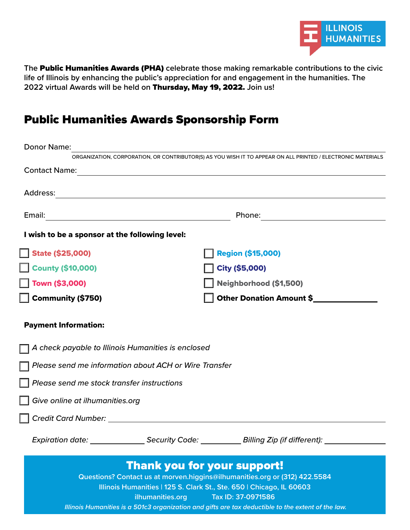

**The** Public Humanities Awards (PHA) **celebrate those making remarkable contributions to the civic life of Illinois by enhancing the public's appreciation for and engagement in the humanities. The 2022 virtual Awards will be held on** Thursday, May 19, 2022. **Join us!**

# Public Humanities Awards Sponsorship Form

| <b>Donor Name:</b>                                        |                                                                                                                                                    |
|-----------------------------------------------------------|----------------------------------------------------------------------------------------------------------------------------------------------------|
|                                                           | ORGANIZATION, CORPORATION, OR CONTRIBUTOR(S) AS YOU WISH IT TO APPEAR ON ALL PRINTED / ELECTRONIC MATERIALS                                        |
| <b>Contact Name:</b>                                      |                                                                                                                                                    |
| Address:                                                  | <u> 1989 - Johann Stoff, amerikansk politiker (d. 1989)</u>                                                                                        |
|                                                           | Phone:                                                                                                                                             |
| I wish to be a sponsor at the following level:            |                                                                                                                                                    |
| State (\$25,000)                                          | <b>Region (\$15,000)</b>                                                                                                                           |
| <b>County (\$10,000)</b>                                  | City (\$5,000)                                                                                                                                     |
| $\blacksquare$ Town (\$3,000)                             | Neighborhood (\$1,500)                                                                                                                             |
| Community (\$750)                                         | Other Donation Amount \$                                                                                                                           |
| <b>Payment Information:</b>                               |                                                                                                                                                    |
| $\Box$ A check payable to Illinois Humanities is enclosed |                                                                                                                                                    |
| Please send me information about ACH or Wire Transfer     |                                                                                                                                                    |
| Please send me stock transfer instructions                |                                                                                                                                                    |
| Give online at ilhumanities.org                           |                                                                                                                                                    |
|                                                           |                                                                                                                                                    |
| <b>Expiration date:</b>                                   | <b>Security Code:</b><br><b>Billing Zip (if different):</b>                                                                                        |
|                                                           | <b>Thank you for your support!</b>                                                                                                                 |
|                                                           | Questions? Contact us at morven.higgins@ilhumanities.org or (312) 422.5584<br>Illinois Humanities   125 S. Clark St., Ste. 650   Chicago, IL 60603 |
|                                                           | ilhumanities.org<br>Tax ID: 37-0971586                                                                                                             |

 *Illinois Humanities is a 501c3 organization and gifts are tax deductible to the extent of the law.*